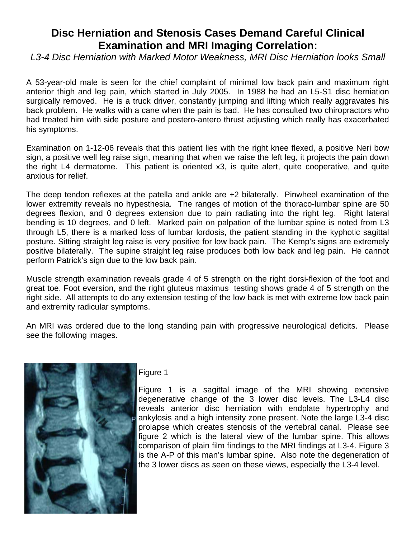# **Disc Herniation and Stenosis Cases Demand Careful Clinical Examination and MRI Imaging Correlation:**

*L3-4 Disc Herniation with Marked Motor Weakness, MRI Disc Herniation looks Small* 

A 53-year-old male is seen for the chief complaint of minimal low back pain and maximum right anterior thigh and leg pain, which started in July 2005. In 1988 he had an L5-S1 disc herniation surgically removed. He is a truck driver, constantly jumping and lifting which really aggravates his back problem. He walks with a cane when the pain is bad. He has consulted two chiropractors who had treated him with side posture and postero-antero thrust adjusting which really has exacerbated his symptoms.

Examination on 1-12-06 reveals that this patient lies with the right knee flexed, a positive Neri bow sign, a positive well leg raise sign, meaning that when we raise the left leg, it projects the pain down the right L4 dermatome. This patient is oriented x3, is quite alert, quite cooperative, and quite anxious for relief.

The deep tendon reflexes at the patella and ankle are +2 bilaterally. Pinwheel examination of the lower extremity reveals no hypesthesia. The ranges of motion of the thoraco-lumbar spine are 50 degrees flexion, and 0 degrees extension due to pain radiating into the right leg. Right lateral bending is 10 degrees, and 0 left. Marked pain on palpation of the lumbar spine is noted from L3 through L5, there is a marked loss of lumbar lordosis, the patient standing in the kyphotic sagittal posture. Sitting straight leg raise is very positive for low back pain. The Kemp's signs are extremely positive bilaterally. The supine straight leg raise produces both low back and leg pain. He cannot perform Patrick's sign due to the low back pain.

Muscle strength examination reveals grade 4 of 5 strength on the right dorsi-flexion of the foot and great toe. Foot eversion, and the right gluteus maximus testing shows grade 4 of 5 strength on the right side. All attempts to do any extension testing of the low back is met with extreme low back pain and extremity radicular symptoms.

An MRI was ordered due to the long standing pain with progressive neurological deficits. Please see the following images.



## Figure 1

Figure 1 is a sagittal image of the MRI showing extensive degenerative change of the 3 lower disc levels. The L3-L4 disc reveals anterior disc herniation with endplate hypertrophy and ankylosis and a high intensity zone present. Note the large L3-4 disc prolapse which creates stenosis of the vertebral canal. Please see figure 2 which is the lateral view of the lumbar spine. This allows comparison of plain film findings to the MRI findings at L3-4. Figure 3 is the A-P of this man's lumbar spine. Also note the degeneration of the 3 lower discs as seen on these views, especially the L3-4 level.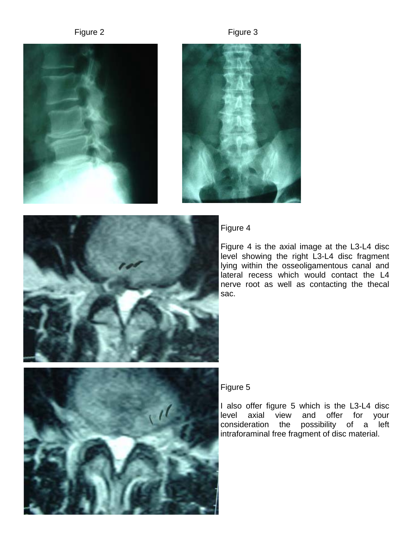### Figure 2 Figure 3







## Figure 4

Figure 4 is the axial image at the L3-L4 disc level showing the right L3-L4 disc fragment lying within the osseoligamentous canal and lateral recess which would contact the L4 nerve root as well as contacting the thecal sac.



## Figure 5

I also offer figure 5 which is the L3-L4 disc level axial view and offer for your consideration the possibility of a left intraforaminal free fragment of disc material.